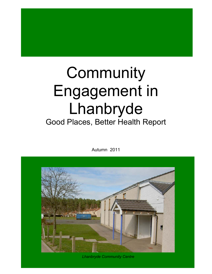# **Community** Engagement in Lhanbryde Good Places, Better Health Report

Autumn 2011



*Lhanbryde Community Centre*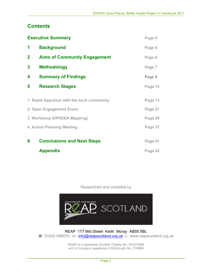# **Contents**

|              | <b>Executive Summary</b>                    | Page 4  |
|--------------|---------------------------------------------|---------|
| 1            | <b>Background</b>                           | Page 6  |
| $\mathbf{2}$ | <b>Aims of Community Engagement</b>         | Page 6  |
| $\mathbf{3}$ | <b>Methodology</b>                          | Page 7  |
| 4            | <b>Summary of Findings</b>                  | Page 9  |
| 5            | <b>Research Stages</b>                      | Page 13 |
|              | 1. Rapid Appraisal with the local community | Page 13 |
|              | 2. Open Engagement Event                    | Page 21 |
|              | 3. Workshop (DPSEEA Mapping)                | Page 29 |
|              | 4. Action Planning Meeting                  | Page 37 |
| 6            | <b>Conclusions and Next Steps</b>           | Page 41 |
|              | <b>Appendix</b>                             | Page 42 |

Researched and compiled by



REAP 177 Mid Street Keith Moray AB55 5BL **■:** 01542 888070 · info@reapscotland.org.uk ■: www.reapscotland.org.uk

> REAP is a registered Scottish Charity No: SC037988 and a Company registered in Edinburgh No: 316989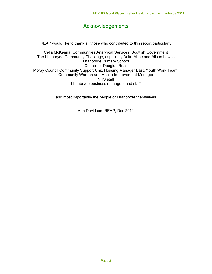# Acknowledgements

REAP would like to thank all those who contributed to this report particularly

Celia McKenna, Communities Analytical Services, Scottish Government The Lhanbryde Community Challenge, especially Anita Milne and Alison Lowes Lhanbryde Primary School Councillor Douglas Ross Moray Council Community Support Unit, Housing Manager East, Youth Work Team, Community Warden and Health Improvement Manager NHS staff Lhanbryde business managers and staff

and most importantly the people of Lhanbryde themselves

Ann Davidson, REAP, Dec 2011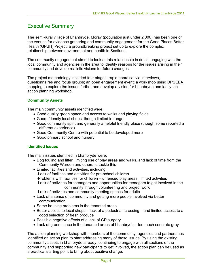# Executive Summary

The semi-rural village of Lhanbryde, Moray (population just under 2,000) has been one of the venues for evidence gathering and community engagement for the Good Places Better Health (GPBH) Project: a groundbreaking project set up to explore the complex relationship between environment and health in Scotland.

The community engagement aimed to look at this relationship in detail, engaging with the local community and agencies in the area to identify reasons for the issues arising in their community and develop realistic visions for future changes.

The project methodology included four stages: rapid appraisal via interviews, questionnaires and focus groups; an open engagement event; a workshop using DPSEEA mapping to explore the issues further and develop a vision for Lhanbryde and lastly, an action planning workshop.

#### **Community Assets**

The main community assets identified were:

- Good quality green space and access to walks and playing fields
- Good, friendly local shops, though limited in range
- Good community spirit and generally a helpful friendly place (though some reported a different experience)
- Good Community Centre with potential to be developed more
- Good primary school and nursery

#### **Identified Issues**

The main issues identified in Lhanbryde were:

- Dog fouling and litter, limiting use of play areas and walks, and lack of time from the Community Warden and others to tackle this
- Limited facilities and activities, including: -Lack of facilities and activities for pre-school children -Problems with facilities for children – unfenced play areas, limited activities -Lack of activities for teenagers and opportunities for teenagers to get involved in the community through volunteering and project work -Lack of activities and community meeting spaces for adults
- Lack of a sense of community and getting more people involved via better communication
- Some housing problems in the tenanted areas
- Better access to local shops lack of a pedestrian crossing and limited access to a good selection of fresh produce
- Possible negative effects of a lack of GP surgery
- Lack of green space in the tenanted areas of Lhanbryde too much concrete grey

The action planning workshop with members of the community, agencies and partners has identified an action plan to start addressing many of these issues. By using the existing community assets in Lhanbryde already, continuing to engage with all sections of the community and supporting new participants to get involved, the action plan can be used as a practical starting point to bring about positive change.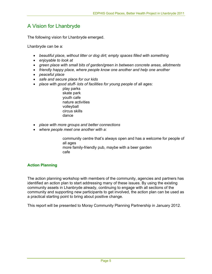# A Vision for Lhanbryde

The following vision for Lhanbryde emerged.

Lhanbryde can be a:

- *beautiful place, without litter or dog dirt; empty spaces filled with something*
- *enjoyable to look at*
- *green place with small bits of garden/green in between concrete areas, allotments*
- *friendly happy place, where people know one another and help one another*
- *peaceful place*
- *safe and secure place for our kids*
- *place with good stuff- lots of facilities for young people of all ages:* 
	- play parks skate park youth cafe nature activities volleyball circus skills dance
- *place with more groups and better connections*
- *where people meet one another with a:*

 community centre that's always open and has a welcome for people of all ages more family-friendly pub, maybe with a beer garden cafe

#### **Action Planning**

The action planning workshop with members of the community, agencies and partners has identified an action plan to start addressing many of these issues. By using the existing community assets in Lhanbryde already, continuing to engage with all sections of the community and supporting new participants to get involved, the action plan can be used as a practical starting point to bring about positive change.

This report will be presented to Moray Community Planning Partnership in January 2012.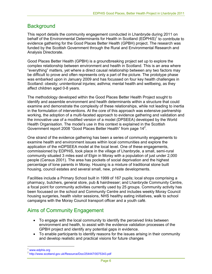# **Background**

This report details the community engagement conducted in Lhanbryde during 2011 on behalf of the Environmental Determinants for Health in Scotland (EDPHiS)<sup>1</sup> to contribute to evidence gathering for the Good Places Better Health (GPBH) project. The research was funded by the Scottish Government through the Rural and Environmental Research and Analysis Directorate.

Good Places Better Health (GPBH) is a groundbreaking project set up to explore the complex relationship between environment and health in Scotland. This is an area where "everything" matters, yet where a direct causal relationship between any two factors may be difficult to prove and often represents only a part of the picture. The prototype phase was embarked upon in January 2009 and has focussed on four key health challenges in Scotland: obesity; unintentional injuries; asthma; mental health and wellbeing, as they affect children aged 0-8 years.

The methodology developed within the Good Places Better Health Project sought to identify and assemble environment and health determinants within a structure that could examine and demonstrate the complexity of these relationships, while not leading to inertia in the formulation of interventions. At the core of this approach was extensive partnership working, the adoption of a multi-faceted approach to evidence gathering and validation and the innovative use of a modified version of a model (DPSEEA) developed by the World Health Organisation. The model's use in this context is explained in the Scottish Government report 2008 "Good Places Better Health" from page 14<sup>2</sup>.

One strand of the evidence gathering has been a series of community engagements to examine health and environment issues within local communities and explore the application of the mDPSEEA model at the local level. One of these engagements, commissioned by EDPHiS, took place in the village of Lhanbryde, a small, semi-rural community situated 3 miles east of Elgin in Moray with a population of just under 2,000 people (Census 2001). The area has pockets of social deprivation and the highest percentage of lone parents in Moray. Housing is a mixture of traditional stone built housing, council estates and several small, new, private developments.

Facilities include a Primary School built in 1999 of 167 pupils; local shops comprising a pharmacy, butchers, general store, pub & hairdresser; and Lhanbryde Community Centre, a focal point for community activities currently used by 25 groups. Community activity has been focussed on the school and Community Centre and includes weekly Moray Council housing surgeries, health visitor sessions, NHS healthy eating initiatives, walk to school campaigns with the Moray Council transport officer and a youth café.

# Aims of Community Engagement

- To engage with the local community to identify the perceived links between environment and health, to assist with the evidence validation processes of the GPBH project and identify any potential gaps in evidence.
- To enable participants to identify reasons for the issues arising in their community and develop realistic and practical visions for future changes

 $\overline{a}$ 

www.edphis.org

<sup>2</sup> http://www.scotland.gov.uk/Resource/Doc/254447/0075343.pdf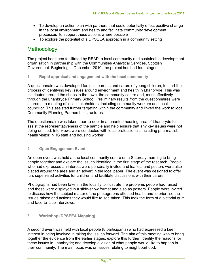- To develop an action plan with partners that could potentially effect positive change in the local environment and health and facilitate community development processes to support these actions where possible
- To explore the potential of a DPSEEA approach in a community setting

# Methodology

The project has been facilitated by REAP, a local community and sustainable development organisation in partnership with the Communities Analytical Services, Scottish Government. Beginning in December 2010, the project has had four stages:

#### **1 Rapid appraisal and engagement with the local community**

A questionnaire was developed for local parents and carers of young children, to start the process of identifying key issues around environment and health in Lhanbryde. This was distributed around the shops in the town, the community centre and, most effectively through the Lhanbryde Primary School. Preliminary results from the questionnaires were shared at a meeting of local stakeholders, including community workers and local councillor. This assisted further targeting within the community and linked the work to local Community Planning Partnership structures.

The questionnaire was taken door-to-door in a tenanted housing area of Lhanbryde to assist the representativeness of the sample and help ensure that any key issues were not being omitted. Interviews were conducted with local professionals including pharmacist, health visitor, NHS staff and housing worker.

#### **2 Open Engagement Event**

An open event was held at the local community centre on a Saturday morning to bring people together and explore the issues identified in the first stage of the research. People who had expressed an interest were personally invited and leaflets and posters were also placed around the area and an advert in the local paper. The event was designed to offer fun, supervised activities for children and facilitate discussions with their carers.

Photographs had been taken in the locality to illustrate the problems people had raised and these were displayed in a slide-show format and also as posters. People were invited to discuss how the subject matter of the photographs affected health and to prioritise the issues raised and actions they would like to see taken. This took the form of a pictorial quiz and face-to-face interviews.

#### **3 Workshop (DPSEEA Mapping)**

A second event was held with local people (8 participants) who had expressed a keen interest in being involved in taking the issues forward. The aim of this meeting was to bring together the evidence from the earlier stages; explore this further; identify the reasons for these issues in Lhanbryde; and develop a vision of what people would like to happen in their community. The main focus was on issues relating to neighbourhood.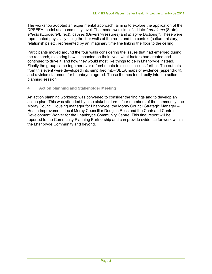The workshop adopted an experimental approach, aiming to explore the application of the DPSEEA model at a community level. The model was simplified into: "*problems* (State), *effects* (Exposure/Effect), *causes* (Drivers/Pressures) and *imagine* (Actions)". These were represented physically using the four walls of the room and the context (culture, history, relationships etc. represented by an imaginary time line linking the floor to the ceiling.

Participants moved around the four walls considering the issues that had emerged during the research, exploring how it impacted on their lives, what factors had created and continued to drive it, and how they would most like things to be in Lhanbryde instead. Finally the group came together over refreshments to discuss issues further. The outputs from this event were developed into simplified mDPSEEA maps of evidence (appendix 4), and a vision statement for Lhanbryde agreed. These themes fed directly into the action planning session

#### **4 Action planning and Stakeholder Meeting**

An action planning workshop was convened to consider the findings and to develop an action plan. This was attended by nine stakeholders – four members of the community, the Moray Council Housing manager for Lhanbryde, the Moray Council Strategic Manager – Health Improvement, local Moray Councillor Douglas Ross and the Chair and Centre Development Worker for the Lhanbryde Community Centre. This final report will be reported to the Community Planning Partnership and can provide evidence for work within the Lhanbryde Community and beyond.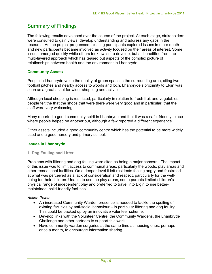# Summary of Findings

The following results developed over the course of the project. At each stage, stakeholders were consulted to gain views, develop understanding and address any gaps in the research. As the project progressed, existing participants explored issues in more depth and new participants became involved as activity focused on their areas of interest. Some issues emerged quickly while others took awhile to develop, but all benefitted from the multi-layered approach which has teased out aspects of the complex picture of relationships between health and the environment in Lhanbryde.

#### **Community Assets**

People in Lhanbryde value the quality of green space in the surrounding area, citing two football pitches and nearby access to woods and loch. Lhanbryde's proximity to Elgin was seen as a great asset for wider shopping and activities.

Although local shopping is restricted, particularly in relation to fresh fruit and vegetables, people felt the that the shops that were there were very good and in particular, that the staff were very welcoming.

Many reported a good community spirit in Lhanbryde and that it was a safe, friendly, place where people helped on another out, although a few reported a different experience.

Other assets included a good community centre which has the potential to be more widely used and a good nursery and primary school.

#### **Issues in Lhanbryde**

#### **1. Dog Fouling and Litter**

Problems with littering and dog-fouling were cited as being a major concern. The impact of this issue was to limit access to communal areas, particularly the woods, play areas and other recreational facilities. On a deeper level it left residents feeling angry and frustrated at what was perceived as a lack of consideration and respect, particularly for the wellbeing for their children. Unable to use the play areas, some parents limited children's physical range of independent play and preferred to travel into Elgin to use bettermaintained, child-friendly facilities.

#### *Action Points*

- An increased Community Warden presence is needed to tackle the spoiling of existing facilities by anti-social behaviour – in particular littering and dog fouling. This could be backed up by an innovative volunteer scheme.
- Develop links with the Volunteer Centre, the Community Wardens, the Lhanbryde Challenge and other partners to support this work
- Have community warden surgeries at the same time as housing ones, perhaps once a month, to encourage information sharing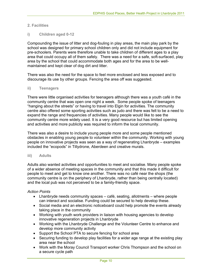#### **2. Facilities**

#### **i) Children aged 0-12**

Compounding the issue of litter and dog-fouling in play areas, the main play park by the school was designed for primary school children only and did not include equipment for pre-schoolers. Parents were therefore unable to take children of different ages to a play area that could occupy all of them safely. There was a need for a safe, soft-surfaced, play area by the school that could accommodate both ages and for the area to be wellmaintained and kept clear of dog dirt and litter.

There was also the need for the space to feel more enclosed and less exposed and to discourage its use by other groups. Fencing the area off was suggested.

#### **ii) Teenagers**

There were little organised activities for teenagers although there was a youth café in the community centre that was open one night a week. Some people spoke of teenagers "hanging about the streets" or having to travel into Elgin for activities. The community centre also offered some sporting activities such as judo and there was felt to be a need to expand the range and frequencies of activities. Many people would like to see the community centre more widely used. It is a very good resource but has limited opening and activities and more publicity was required to inform the local community.

There was also a desire to include young people more and some people mentioned obstacles in enabling young people to volunteer within the community. Working with young people on innovative projects was seen as a way of regenerating Lhanbryde – examples included the "ecopods" in Tillydrone, Aberdeen and creative murals.

#### **iii) Adults**

Adults also wanted activities and opportunities to meet and socialise. Many people spoke of a wider absence of meeting spaces in the community and that this made it difficult for people to meet and get to know one another. There was no café near the shops (the community centre is on the periphery of Lhanbryde, rather than being centrally located) and the local pub was not perceived to be a family-friendly space.

#### *Action Points*

- Lhanbryde needs community spaces café, seating, allotments where people can interact and socialise. Funding could be secured to help develop these.
- Social media and an electronic noticeboard could help promote the events already taking place in the community
- Working with youth work providers in liaison with housing agencies to develop innovative regeneration projects in Lhanbryde
- Working with the Lhanbryde Challenge and the Volunteer Centre to enhance and develop more community activity
- Support the School PTA to secure fencing for school area
- Securing funding to develop play facilities for a wider age range at the existing play area near the school
- Work with the Moray Council Transport worker Chris Thompson and the school on a secure cycle path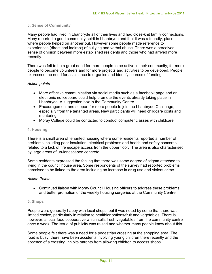#### **3. Sense of Community**

Many people had lived in Lhanbryde all of their lives and had close-knit family connections. Many reported a good community spirit in Lhanbryde and that it was a friendly, place where people helped on another out. However some people made reference to experiences (direct and indirect) of bullying and verbal abuse. There was a perceived sense of division between more established residents and those who had arrived more recently.

There was felt to be a great need for more people to be active in their community; for more people to become volunteers and for more projects and activities to be developed. People expressed the need for assistance to organise and identify sources of funding.

#### *Action points*

- More effective communication via social media such as a facebook page and an electronic noticeboard could help promote the events already taking place in Lhanbryde. A suggestion box in the Community Centre
- Encouragement and support for more people to join the Lhanbryde Challenge, especially from the tenanted areas. New participants will need childcare costs and mentoring
- Moray College could be contacted to conduct computer classes with childcare

#### **4. Housing**

There is a small area of tenanted housing where some residents reported a number of problems including poor insulation, electrical problems and health and safety concerns related to a lack of fire escape access from the upper floor. The area is also characterised by large areas of un-landscaped concrete.

Some residents expressed the feeling that there was some degree of stigma attached to living in the council house area. Some respondents of the survey had reported problems perceived to be linked to the area including an increase in drug use and violent crime.

#### *Action Points:*

• Continued liaison with Moray Council Housing officers to address these problems, and better promotion of the weekly housing surgeries at the Community Centre

#### **5. Shops**

People were generally happy with local shops, but it was noted by some that there was limited choice, particularly in relation to healthier options/fruit and vegetables. There is however, a local food cooperative which sells fresh vegetables from the community centre once a week. The issue of publicity was raised and whether many people know about this.

Some people felt there was a need for a pedestrian crossing at the shopping area. The road is busy, there have been accidents involving young children there recently and the absence of a crossing inhibits parents from allowing children to access shops.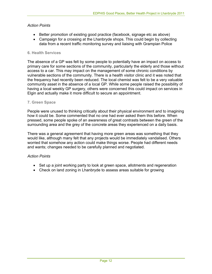#### *Action Points*

- Better promotion of existing good practice (facebook, signage etc as above)
- Campaign for a crossing at the Lhanbryde shops. This could begin by collecting data from a recent traffic monitoring survey and liaising with Grampian Police

#### **6. Health Services**

The absence of a GP was felt by some people to potentially have an impact on access to primary care for some sections of the community, particularly the elderly and those without access to a car. This may impact on the management of some chronic conditions by vulnerable sections of the community. There is a health visitor clinic and it was noted that the frequency had recently been reduced. The local chemist was felt to be a very valuable community asset in the absence of a local GP. While some people raised the possibility of having a local weekly GP surgery, others were concerned this could impact on services in Elgin and actually make it more difficult to secure an appointment.

#### **7. Green Space**

People were unused to thinking critically about their physical environment and to imagining how it could be. Some commented that no one had ever asked them this before. When pressed, some people spoke of an awareness of great contrasts between the green of the surrounding area and the grey of the concrete areas they experienced on a daily basis.

There was a general agreement that having more green areas was something that they would like, although many felt that any projects would be immediately vandalised. Others worried that somehow any action could make things worse. People had different needs and wants; changes needed to be carefully planned and negotiated.

#### *Action Points*

- Set up a joint working party to look at green space, allotments and regeneration
- Check on land zoning in Lhanbryde to assess areas suitable for growing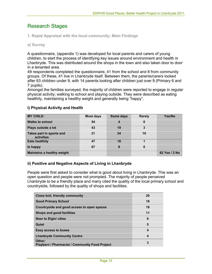# Research Stages

**1. Rapid Appraisal with the local community; Main Findings** 

**a) Survey**

A questionnaire, (appendix 1) was developed for local parents and carers of young children, to start the process of identifying key issues around environment and health in Lhanbryde. This was distributed around the shops in the town and also taken door to door in a tenanted area.

49 respondents completed the questionnaire, 41 from the school and 8 from community groups. Of these, 41 live in Lhanbryde itself. Between them, the parents/carers looked after 63 children under 9, with 14 parents looking after children just over 9 (Primary 6 and 7 pupils).

Amongst the families surveyed, the majority of children were reported to engage in regular physical activity; walking to school and playing outside. They were described as eating healthily, maintaining a healthy weight and generally being "happy".

| <b>MY CHILD:</b>                       | <b>Most days</b> | Some days | <b>Rarely</b> | Yes/No        |
|----------------------------------------|------------------|-----------|---------------|---------------|
| <b>Walks to school</b>                 | 54               | 4         | 6             |               |
| Plays outside a lot                    | 43               | 19        | 3             |               |
| Takes part in sports and<br>activities | 21               | 34        | 10            |               |
| <b>Eats healthily</b>                  | 47               | 18        |               |               |
| Is happy                               | 67               | 9         | 0             |               |
| <b>Maintains a healthy weight</b>      |                  |           |               | 62 Yes / 2 No |

#### **i) Physical Activity and Health**

#### **ii) Positive and Negative Aspects of Living in Lhanbryde**

People were first asked to consider what is good about living in Lhanbryde. This was an open question and people were not prompted. The majority of people perceived Lhanbryde to be a friendly place and many cited the quality of the local primary school and countryside, followed by the quality of shops and facilities.

| <b>Close knit, friendly community</b>                           | 29 |
|-----------------------------------------------------------------|----|
| <b>Good Primary School</b>                                      | 18 |
| Countryside and good access to open spaces                      | 18 |
| Shops and good facilities                                       | 11 |
| <b>Near to Elgin/ cities</b>                                    | 6  |
| Quiet                                                           | 5  |
| Easy access to buses                                            | 4  |
| <b>Lhanbryde Community Centre</b>                               | 4  |
| Other:<br><b>Playbarn / Pharmacist / Community Food Project</b> | 3  |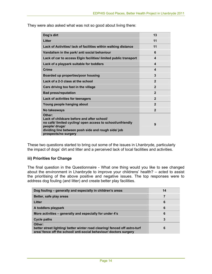They were also asked what was not so good about living there:

| Dog's dirt                                                                                                                                                                                                          | 13             |
|---------------------------------------------------------------------------------------------------------------------------------------------------------------------------------------------------------------------|----------------|
| Litter                                                                                                                                                                                                              | 11             |
| Lack of Activities/ lack of facilities within walking distance                                                                                                                                                      | 11             |
| Vandalism in the park/ anti social behaviour                                                                                                                                                                        | 6              |
| Lack of car to access Elgin facilities/ limited public transport                                                                                                                                                    | 4              |
| Lack of a playpark suitable for toddlers                                                                                                                                                                            | 4              |
| Crime                                                                                                                                                                                                               | 4              |
| Boarded up properties/poor housing                                                                                                                                                                                  | 3              |
| Lack of a 2-3 class at the school                                                                                                                                                                                   | $\mathbf{2}$   |
| Cars driving too fast in the village                                                                                                                                                                                | $\mathbf{2}$   |
| <b>Bad press/reputation</b>                                                                                                                                                                                         | $\mathbf{2}$   |
| Lack of activities for teenagers                                                                                                                                                                                    | $\overline{2}$ |
| Young people hanging about                                                                                                                                                                                          | $\mathbf{2}$   |
| No takeaways                                                                                                                                                                                                        | $\overline{2}$ |
| Other:<br>Lack of childcare before and after school/<br>no café/ limited cycling/ open access to school/unfriendly<br>people/ drugs/<br>dividing line between posh side and rough side/ job<br>prospects/no surgery | 9              |

These two questions started to bring out some of the issues in Lhanbryde, particularly the impact of dogs' dirt and litter and a perceived lack of local facilities and activities.

#### **iii) Priorities for Change**

The final question in the Questionnaire - What one thing would you like to see changed about the environment in Lhanbryde to improve your childrens' health? – acted to assist the prioritising of the above positive and negative issues. The top responses were to address dog fouling (and litter) and create better play facilities.

| Dog fouling – generally and especially in children's areas                                                                                                 | 14 |
|------------------------------------------------------------------------------------------------------------------------------------------------------------|----|
| Better, safe play areas                                                                                                                                    |    |
| Litter                                                                                                                                                     | 6  |
| A toddlers playpark                                                                                                                                        | 6  |
| More activities - generally and especially for under 4's                                                                                                   | 6  |
| <b>Cycle paths</b>                                                                                                                                         | 3  |
| Other:<br>better street lighting/ better winter road clearing/ fenced off astro-turf<br>area/ fence off the school/ anti-social behaviour/ doctors surgery | 6  |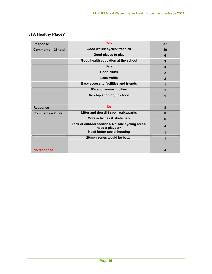## **iv) A Healthy Place?**

| <b>Response</b>                                      | <b>Yes</b>                                                            | 37             |
|------------------------------------------------------|-----------------------------------------------------------------------|----------------|
| Good walks/ cycles/ fresh air<br>Comments - 26 total |                                                                       | 10             |
|                                                      | Good places to play                                                   | 6              |
|                                                      | Good health education at the school                                   | 3              |
|                                                      | <b>Safe</b>                                                           | 3              |
|                                                      | <b>Good clubs</b>                                                     | $\mathbf{2}$   |
|                                                      | Less traffic                                                          | $\overline{2}$ |
|                                                      | Easy access to facilities and friends                                 | 1              |
|                                                      | It's a lot worse in cities                                            | 1              |
|                                                      | No chip shop or junk food                                             | 1              |
|                                                      |                                                                       |                |
| <b>Response</b>                                      | <b>No</b>                                                             | 8              |
| Comments - 7 total                                   | Litter and dog dirt spoil walks/parks                                 | 6              |
|                                                      | More activities & skate park                                          | 6              |
|                                                      | Lack of outdoor facilities/ No safe cycling areas/<br>need a playpark | 3              |
|                                                      | <b>Need better social housing</b>                                     | 1              |
|                                                      | 20mph zones would be better                                           | 1              |
|                                                      |                                                                       |                |
| <b>No response</b>                                   |                                                                       | 4              |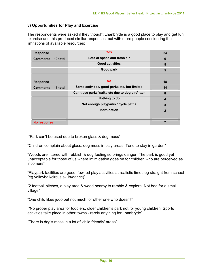#### **v) Opportunities for Play and Exercise**

The respondents were asked if they thought Lhanbryde is a good place to play and get fun exercise and this produced similar responses, but with more people considering the limitations of available resources:

| <b>Response</b>     | <b>Yes</b>                                       | 24             |
|---------------------|--------------------------------------------------|----------------|
| Comments - 19 total | Lots of space and fresh air                      | 6              |
|                     | <b>Good activities</b>                           | 5              |
|                     | Good park                                        | 5              |
|                     |                                                  |                |
| <b>Response</b>     | <b>No</b>                                        | 18             |
| Comments - 17 total | Some activities/ good parks etc, but limited     | 14             |
|                     | Can't use parks/walks etc due to dog dirt/litter | 8              |
|                     | Nothing to do                                    | 4              |
|                     | Not enough playparks / cycle paths               | 3              |
|                     | Intimidation                                     | $\overline{2}$ |
|                     |                                                  |                |
| No response         |                                                  | 7              |

"Park can't be used due to broken glass & dog mess"

"Children complain about glass, dog mess in play areas. Tend to stay in garden"

"Woods are littered with rubbish & dog fouling so brings danger. The park is good yet unacceptable for those of us where intimidation goes on for children who are perceived as incomers"

"Playpark facilities are good, few led play activities at realistic times eg straight from school (eg volleyball/circus skills/dance)"

"2 football pitches, a play area & wood nearby to ramble & explore. Not bad for a small village"

"One child likes judo but not much for other one who doesn't"

 "No proper play area for toddlers, older children's park not for young children. Sports activities take place in other towns - rarely anything for Lhanbryde"

"There is dog's mess in a lot of 'child friendly' areas"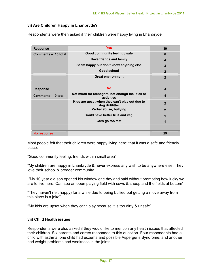#### **vi) Are Children Happy in Lhanbryde?**

Respondents were then asked if their children were happy living in Lhanbryde

| <b>Response</b>     | <b>Yes</b>                                                        | 39               |
|---------------------|-------------------------------------------------------------------|------------------|
| Comments - 15 total | Good community feeling / safe                                     | 6                |
|                     | Have friends and family                                           | $\boldsymbol{4}$ |
|                     | Seem happy but don't know anything else                           | 3                |
|                     | Good school                                                       | $\overline{2}$   |
|                     | <b>Great environment</b>                                          | $\overline{2}$   |
|                     |                                                                   |                  |
| <b>Response</b>     | <b>No</b>                                                         | $\overline{3}$   |
| Comments - 9 total  | Not much for teenagers/ not enough facilities or<br>activities    | $\boldsymbol{4}$ |
|                     | Kids are upset when they can't play out due to<br>dog dirt/litter | $\overline{2}$   |
|                     | Verbal abuse, bullying                                            | $\overline{2}$   |
|                     | Could have better fruit and veg.                                  | 1                |
|                     | Cars go too fast                                                  | 1                |
|                     |                                                                   |                  |
| No response         |                                                                   | 29               |

Most people felt that their children were happy living here; that it was a safe and friendly place:

"Good community feeling, friends within small area"

"My children are happy in Lhanbryde & never express any wish to be anywhere else. They love their school & broader community.

 "My 10 year old son opened his window one day and said without prompting how lucky we are to live here. Can see an open playing field with cows & sheep and the fields at bottom"

"They haven't (felt happy) for a while due to being bullied but getting a move away from this place is a joke"

"My kids are upset when they can't play because it is too dirty & unsafe"

#### **vii) Child Health issues**

Respondents were also asked if they would like to mention any health issues that affected their children. Six parents and carers responded to this question. Four respondents had a child with asthma, one child had eczema and possible Asperger's Syndrome, and another had weight problems and weakness in the joints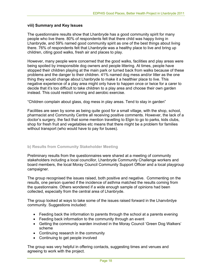#### **viii) Summary and Key Issues**

The questionnaire results show that Lhanbryde has a good community spirit for many people who live there. 80% of respondents felt that there child was happy living in Lhanbryde, and 59% named good community spirit as one of the best things about living there. 76% of respondents felt that Lhanbryde was a healthy place to live and bring up children, citing good walks, fresh air and places to play.

However, many people were concerned that the good walks, facilities and play areas were being spoiled by irresponsible dog owners and people littering. At times, people have stopped their children playing at the main park or turned back from walks because of these problems and the danger to their children. 41% named dog mess and/or litter as the one thing they would change about Lhanbryde to make it a healthier place to live. This negative experience of a play area might only have to happen once or twice for a carer to decide that it's too difficult to take children to a play area and choose their own garden instead. This could restrict running and aerobic exercise.

"Children complain about glass, dog mess in play areas. Tend to stay in garden"

Facilities are seen by some as being quite good for a small village, with the shop, school, pharmacist and Community Centre all receiving positive comments. However, the lack of a doctor's surgery, the fact that some mention travelling to Elgin to go to parks, kids clubs, shop for fresh fruit and vegetables etc means that there might be a problem for families without transport (who would have to pay for buses).

#### **b) Results from Community Stakeholder Meeting**

Preliminary results from the questionnaires were shared at a meeting of community stakeholders including a local councillor, Lhanbryde Community Challenge workers and board members, the local Moray Council Community Support Officer and a local playgroup campaigner.

The group recognised the issues raised, both positive and negative. Commenting on the results, one person queried if the incidence of asthma matched the results coming from the questionnaire. Others wondered if a wide enough sample of opinions had been collected, especially from the central area of Lhanbryde.

The group looked at ways to take some of the issues raised forward in the Lhanvbrdye community. Suggestions included:

- Feeding back the information to parents through the school at a parents evening
- Feeding back information to the community through an event
- Getting the community warden involved in the Moray Council 'Green Dog Walkers' scheme
- Continuing research in the community
- Continuing to get people involved

The group was very helpful in offering contacts, suggesting times and venues and agreeing to work with the project.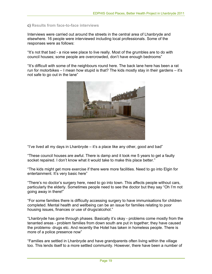#### c) **Results from face-to-face interviews**

Interviews were carried out around the streets in the central area of Lhanbryde and elsewhere. 16 people were interviewed including local professionals. Some of the responses were as follows:

"It's not that bad - a nice wee place to live really. Most of the grumbles are to do with council houses; some people are overcrowded, don't have enough bedrooms"

"It's difficult with some of the neighbours round here. The back lane here has been a rat run for motorbikes – I mean how stupid is that? The kids mostly stay in their gardens – it's not safe to go out in the lane"



"I've lived all my days in Lhanbryde – it's a place like any other, good and bad"

"These council houses are awful. There is damp and it took me 5 years to get a faulty socket repaired. I don't know what it would take to make this place better."

"The kids might get more exercise if there were more facilities. Need to go into Elgin for entertainment. It's very basic here"

"There's no doctor's surgery here, need to go into town. This affects people without cars, particularly the elderly. Sometimes people need to see the doctor but they say "Oh I'm not going away in there!"

"For some families there is difficulty accessing surgery to have immunisations for children completed. Mental health and wellbeing can be an issue for families relating to poor housing issues, finances or use of drugs/alcohol."

"Lhanbryde has gone through phases. Basically it's okay - problems come mostly from the tenanted areas - problem families from down south are put in together; they have caused the problems- drugs etc. And recently the Hotel has taken in homeless people. There is more of a police presence now"

"Families are settled in Lhanbryde and have grandparents often living within the village too. This lends itself to a more settled community. However, there have been a number of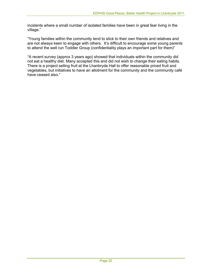incidents where a small number of isolated families have been in great fear living in the village."

"Young families within the community tend to stick to their own friends and relatives and are not always keen to engage with others. It's difficult to encourage some young parents to attend the well run Toddler Group (confidentiality plays an important part for them)"

"A recent survey (approx 3 years ago) showed that individuals within the community did not eat a healthy diet. Many accepted this and did not wish to change their eating habits. There is a project selling fruit at the Lhanbryde Hall to offer reasonable priced fruit and vegetables, but initiatives to have an allotment for the community and the community café have ceased also."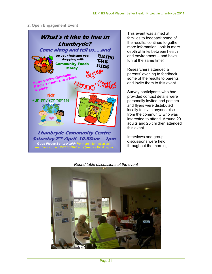#### **2. Open Engagement Event**



This event was aimed at families to feedback some of the results, continue to gather more information, look in more depth at links between health and environment – and have fun at the same time!

Researchers attended a parents' evening to feedback some of the results to parents and invite them to this event.

Survey participants who had provided contact details were personally invited and posters and flyers were distributed locally to invite anyone else from the community who was interested to attend. Around 20 adults and 25 children attended this event.

Interviews and group discussions were held throughout the morning.



*Round table discussions at the event*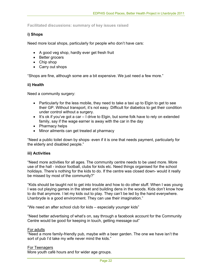**Facilitated discussions: summary of key issues raised** 

#### **i) Shops**

Need more local shops, particularly for people who don't have cars:

- A good veg shop, hardly ever get fresh fruit
- Better grocers
- Chip shop
- Carry out shops

"Shops are fine, although some are a bit expensive. We just need a few more."

#### **ii) Health**

Need a community surgery:

- Particularly for the less mobile, they need to take a taxi up to Elgin to get to see their GP. Without transport, it's not easy. Difficult for diabetics to get their condition under control without a surgery.
- It's ok if you've got a car I drive to Elgin, but some folk have to rely on extended family, say if the wage earner is away with the car in the day
- Pharmacy helps
- Minor ailments can get treated at pharmacy

"Need a public toilet down by shops- even if it is one that needs payment, particularly for the elderly and disabled people."

#### **iii) Activities**

"Need more activities for all ages. The community centre needs to be used more. More use of the hall - indoor football, clubs for kids etc. Need things organised for the school holidays. There's nothing for the kids to do. If the centre was closed down- would it really be missed by most of the community?"

"Kids should be taught not to get into trouble and how to do other stuff. When I was young I was out playing games in the street and building dens in the woods. Kids don't know how to do that anymore. I let my kids out to play. They can't be led by the hand everywhere. Lhanbryde is a good environment. They can use their imagination."

"We need an after school club for kids – especially younger kids"

"Need better advertising of what's on, say through a facebook account for the Community Centre would be good for keeping in touch, getting message out"

#### For adults

"Need a more family-friendly pub, maybe with a beer garden. The one we have isn't the sort of pub I'd take my wife never mind the kids."

#### For Teenagers

More youth café hours and for wider age groups.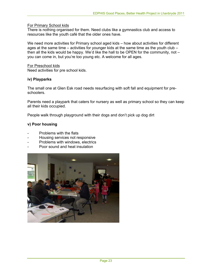#### For Primary School kids

There is nothing organised for them. Need clubs like a gymnastics club and access to resources like the youth café that the older ones have.

We need more activities for Primary school aged kids – how about activities for different ages at the same time – activities for younger kids at the same time as the youth club – then all the kids would be happy. We'd like the hall to be OPEN for the community, not – you can come in, but you're too young etc. A welcome for all ages.

#### For Preschool kids

Need activities for pre school kids.

#### **iv) Playparks**

The small one at Glen Esk road needs resurfacing with soft fall and equipment for preschoolers.

Parents need a playpark that caters for nursery as well as primary school so they can keep all their kids occupied.

People walk through playground with their dogs and don't pick up dog dirt

#### **v) Poor housing**

- Problems with the flats
- Housing services not responsive
- Problems with windows, electrics
- Poor sound and heat insulation

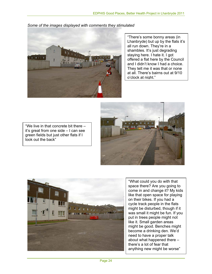*Some of the images displayed with comments they stimulated* 



"There's some bonny areas (in Lhanbryde) but up by the flats it's all run down. They're in a shambles. It's just degrading staying here. I hate it. I got offered a flat here by the Council and I didn't know I had a choice. They telt me it was that or none at all. There's bairns out at 9/10 o'clock at night."



"We live in that concrete bit there – it's great from one side – I can see green fields but just other flats if I look out the back"



"What could you do with that space there? Are you going to come in and change it? My kids like that open space for playing on their bikes. If you had a cycle track people in the flats might be disturbed, though if it was small it might be fun. If you put in trees people might not like it. Small garden areas might be good. Benches might become a drinking den. We'd need to have a proper talk about what happened there – there's a lot of fear that anything new might be worse"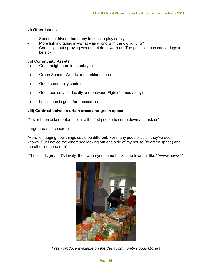#### **vi) Other issues**

- Speeding drivers- too many for kids to play safely
- More lighting going in –what was wrong with the old lighting?
- Council go out spraying weeds but don't warn us. The pesticide can cause dogs to be sick.

#### **vii) Community Assets**

- a) Good neighbours in Lhanbryde
- b) Green Space Woods and parkland, loch
- c) Good community centre
- d) Good bus service- locally and between Elgin (6 times a day)
- e) Local shop is good for necessities

#### **viii) Contrast between urban areas and green space**

"Never been asked before. You're the first people to come down and ask us"

Large areas of concrete:

"Hard to imaging how things could be different. For many people it's all they've ever known. But I notice the difference looking out one side of my house (to green space) and the other (to concrete)"

"The loch is great. It's lovely, then when you come back intae town it's like "Awww naww"."



*Fresh produce available on the day (Community Foods Moray)*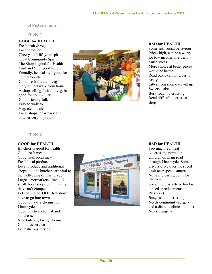**b) Pictorial quiz** 

**Photo 1** 

#### **GOOD for HEALTH**

Fresh fruit & veg. Local produce Cheery staff lift your spirits Great Community Spirit The Shop is good for Health Fruit and Veg. good for diet Friendly, helpful staff good for mental health Good fresh fruit and veg Only a short walk from home A shop selling fruit and veg. is good for community Good friendly folk Easy to walk to Veg. etc on sale Local shops, pharmacy and butcher very important



#### **BAD for HEALTH**

Some anti-social behaviour Prices high, can be a worry for low income or elderly – cause stress More choice at better prices would be better Road busy, cannot cross it easily Litter from shop over village Sweets, cakes Busy road, no crossing Road difficult to cross at shop

**Photo 2** 

#### **GOOD for HEALTH**

Butchers is good for health Good fresh meat Good fresh local meat Fresh local produce Local produce and traditional shops like the butchers are vital to the well-being of Lhanbryde. Large supermarkets often kill small, local shops but in reality they can't compete Lots of choice. Older folk don't have to go into town Good to have a chemist in Lhanbryde Good butcher, chemist and hairdresser Nice butcher, lovely chemist Good bus service Fantastic bus service



#### **BAD for HEALTH**

Too much red meat No crossing point for children on main road through Lhanbryde. Some drivers drive over the speed limit near speed cameras No safe crossing point for children Some motorists drive too fast – need speed cameras Pies!  $(x2)$ Busy road, no crossing Needs community surgery and a diabetic clinic – a must No GP surgery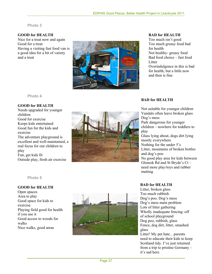#### **Photo 3**

#### **GOOD for HEALTH**

Nice for a treat now and again Good for a treat Having a visiting fast food van is a good idea for a bit of variety and a treat



**BAD for HEALTH** 

Too much isn't good Too much greasy food bad for health Not healthy- greasy food Bad food choice – fast food Litter Overindulgence in this is bad for health, but a little now and then is fine

**Photo 4** 

#### **GOOD for HEALTH**

Needs upgraded for younger children Good for exercise Keeps kids entertained Good fun for the kids and exercise The adventure playground is excellent and well-maintained, a real focus for our children to play Fun, get kids fit Outside play, fresh air exercise



#### **BAD for HEALTH**

Not suitable for younger children Vandals often leave broken glass Dog's mess Park dangerous for younger children – nowhere for toddlers to play Glass lying about, dogs dirt lying mostly everywhere Nothing for the under 5's Litter, mountains of broken bottles and dog's poo No good play area for kids between Glenesk Rd and St Bryde's Ct – need more play/toys and rubber matting

#### **BAD for HEALTH**

Litter, broken glass Too much rubbish Dog's poo. Dog's mess Dog's mess main problem Lots of litter gathering Wholly inadequate fencing–off of school playground Dog poo, rubbish, glass Fence, dog dirt, litter, smashed glass

Litter! My pet hate…parents need to educate their kids to keep Scotland tidy. I've just returned from a trip to pristine Germany – it's sad here.

#### **Photo 5**

#### **GOOD for HEALTH**

Open spaces Area to play Good space for kids to exercise Playing field good for health if you use it Good access to woods for walks Nice walks, good areas

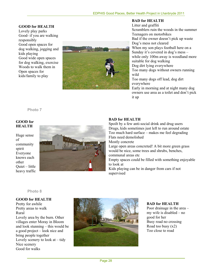## **GOOD for HEALTH**

Lovely play parks Good- if you are walking responsibly Good open spaces for dog walking, jogging and kids playing Good wide open spaces for dog walking, exercise Woods to walk them in Open spaces for kids/family to play



#### **BAD for HEALTH**

Litter and graffiti Scramblers ruin the woods in the summer Teenagers on motorbikes Bad if the owner doesn't pick up waste Dog's mess not cleared When my son plays football here on a Sunday it's covered in dog's mess – while only 100m away is woodland more suitable for dog walking Dog dirt lying everywhere Too many dogs without owners running wild Too many dogs off lead, dog dirt everywhere Early in morning and at night many dog owners use area as a toilet and don't pick it up

**Photo 7** 

#### **GOOD for HEALTH**

Huge sense of community spirit Everyone knows each other Quiet – little heavy traffic



#### **BAD for HEALTH**

Spoilt by a few anti-social drink and drug users Drugs, kids sometimes just left to run around estate Too much hard surface – makes me feel degrading Flats need demolished Mostly concrete Large open areas concreted! A bit more green grass would be nice, some trees and shrubs, benches, communal areas etc Empty spaces could be filled with something enjoyable to look at Kids playing can be in danger from cars if not supervised

#### **Photo 8**

#### **GOOD for HEALTH**

Good for walks Pretty for awhile Pretty areas to walk Rural Lovely area by the burn. Other villages enter Moray in Bloom and look stunning – this would be a good project – look nice and bring people together Lovely scenery to look at  $-$  tidy Nice scenery



#### **BAD for HEALTH**

Poor drainage in the area – my wife is disabled – no good for her Busy road no crossing Road too busy (x2) Too close to road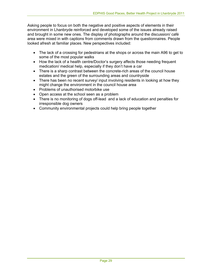Asking people to focus on both the negative and positive aspects of elements in their environment in Lhanbryde reinforced and developed some of the issues already raised and brought in some new ones. The display of photographs around the discussion/ café area were mixed in with captions from comments drawn from the questionnaires. People looked afresh at familiar places. New perspectives included:

- The lack of a crossing for pedestrians at the shops or across the main A96 to get to some of the most popular walks
- How the lack of a health centre/Doctor's surgery affects those needing frequent medication/ medical help, especially if they don't have a car
- There is a sharp contrast between the concrete-rich areas of the council house estates and the green of the surrounding areas and countryside
- There has been no recent survey/ input involving residents in looking at how they might change the environment in the council house area
- Problems of unauthorised motorbike use
- Open access at the school seen as a problem
- There is no monitoring of dogs off-lead and a lack of education and penalties for irresponsible dog owners
- Community environmental projects could help bring people together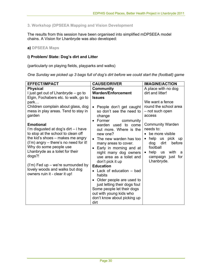#### **3. Workshop (DPSEEA Mapping and Vision Development**

The results from this session have been organised into simplified mDPSEEA model chains. A Vision for Lhanbryde was also developed:

#### **a) DPSEEA Maps**

#### **i) Problem/ State: Dog's dirt and Litter**

(particularly on playing fields, playparks and walks)

*One Sunday we picked up 3 bags full of dog's dirt before we could start the (football) game* 

| <b>EFFECT/IMPACT</b>                                                                                                                                                                                                                                                                                                                                                                                                                                | <b>CAUSE/DRIVER</b>                                                                                                                                                                                                                                                                                                                                                         | <b>IMAGINE/ACTION</b>                                                                                                                                                                                                                                                                                                                 |
|-----------------------------------------------------------------------------------------------------------------------------------------------------------------------------------------------------------------------------------------------------------------------------------------------------------------------------------------------------------------------------------------------------------------------------------------------------|-----------------------------------------------------------------------------------------------------------------------------------------------------------------------------------------------------------------------------------------------------------------------------------------------------------------------------------------------------------------------------|---------------------------------------------------------------------------------------------------------------------------------------------------------------------------------------------------------------------------------------------------------------------------------------------------------------------------------------|
| <b>Physical</b><br>I just get out of Lhanbryde – go to<br>Elgin, Fochabers etc. to walk, go to<br>park<br>Children complain about glass, dog<br>mess in play areas. Tend to stay in<br>garden<br><b>Emotional</b><br>I'm disgusted at dog's dirt - i have<br>to stop at the school to clean off<br>the kid's shoes – makes me angry<br>(I'm) angry – there's no need for it!<br>Why do some people use<br>Lhanbryde as a toilet for their<br>dogs?! | <b>Community</b><br><b>Warden/Enforcement</b><br><b>Issues</b><br>People don't get caught<br>so don't see the need to<br>change<br>• Former<br>community<br>warden used to come<br>out more. Where is the<br>new one?<br>The new warden has too<br>many areas to cover.<br>Early in morning and at<br>night many dog owners<br>use area as a toilet and<br>don't pick it up | A place with no dog<br>dirt and litter!<br>We want a fence<br>round the school area<br>- not such open<br>access<br><b>Community Warden</b><br>needs to:<br>$\bullet$ be more visible<br>help<br>us pick up<br>$\bullet$<br>dirt<br>before<br>dog<br>football<br>help us<br>with<br>a<br>$\bullet$<br>campaign just for<br>Lhanbryde. |
| $('m)$ Fed up – we're surrounded by<br>lovely woods and walks but dog<br>owners ruin it - clear it up!                                                                                                                                                                                                                                                                                                                                              | <b>Education</b><br>• Lack of education $-$ bad<br>habits<br>Older people are used to<br>just letting their dogs foul<br>Some people let their dogs<br>out with young kids who<br>don't know about picking up<br>dirt                                                                                                                                                       |                                                                                                                                                                                                                                                                                                                                       |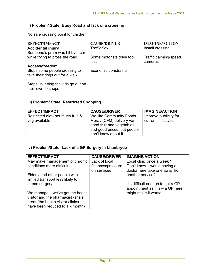## **ii) Problem/ State: Busy Road and lack of a crossing**

No safe crossing point for children

| <b>EFFECT/IMPACT</b>                | <b>CAUSE/DRIVER</b>      | <b>IMAGINE/ACTION</b> |
|-------------------------------------|--------------------------|-----------------------|
| <b>Accidental injury</b>            | <b>Traffic flow</b>      | Install crossing      |
| Someone's pram was hit by a car     |                          |                       |
| while trying to cross the road.     | Some motorists drive too | Traffic calming/speed |
|                                     | fast                     | cameras               |
| Access/freedom                      |                          |                       |
| Stops some people crossing to       | Economic constraints     |                       |
| take their dogs out for a walk      |                          |                       |
|                                     |                          |                       |
| Stops us letting the kids go out on |                          |                       |
| their own to shops                  |                          |                       |

## **iii) Problem/ State: Restricted Shopping**

| <b>EFFECT/IMPACT</b>              | <b>CAUSE/DRIVER</b>                                                                                           | <b>IMAGINE/ACTION</b> |
|-----------------------------------|---------------------------------------------------------------------------------------------------------------|-----------------------|
| Restricted diet- not much fruit & | We like Community Foods                                                                                       | Improve publicity for |
| veg available                     | Moray (CFM) delivery van -<br>good fruit and vegetables<br>and good prices, but people<br>don't know about it | current initiatives   |

## **iv) Problem/State: Lack of a GP Surgery in Lhanbryde**

| <b>EFFECT/IMPACT</b>               | <b>CAUSE/DRIVER</b> | <b>IMAGINE/ACTION</b>              |
|------------------------------------|---------------------|------------------------------------|
| May make management of chronic     | Lack of local       | Local clinic once a week?          |
| conditions more difficult.         | finances/pressure   | Don't know - would having a        |
|                                    | on services         | doctor here take one away from     |
| Elderly and other people with      |                     | another service?                   |
| limited transport less likely to   |                     |                                    |
| attend surgery                     |                     | It's difficult enough to get a GP  |
|                                    |                     | appointment as it is $-$ a GP here |
| We manage $-$ we've got the health |                     | might make it worse                |
| visitor and the pharmacist -she's  |                     |                                    |
| great (the health visitor clinics  |                     |                                    |
| have been reduced to 1 x month)    |                     |                                    |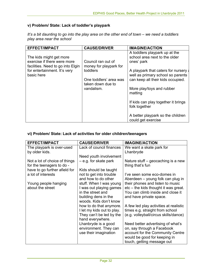## **v) Problem/ State: Lack of toddler's playpark**

*It's a bit daunting to go into the play area on the other end of town – we need a toddlers play area near the school* 

| <b>EFFECT/IMPACT</b>                                                                        | <b>CAUSE/DRIVER</b>                          | <b>IMAGINE/ACTION</b>                                                                                          |
|---------------------------------------------------------------------------------------------|----------------------------------------------|----------------------------------------------------------------------------------------------------------------|
| The kids might get more<br>exercise if there were more<br>facilities. Need to go into Elgin | Council ran out of<br>money for playpark for | A toddlers playpark up at the<br>school area next to the older<br>ones' park                                   |
| for entertainment. It's very<br>basic here                                                  | toddlers<br>One toddlers' area was           | A playpark that caters for nursery a<br>well as primary school so parents<br>can keep all their kids occupied. |
|                                                                                             | taken down due to<br>vandalism.              | More play/toys and rubber<br>matting                                                                           |
|                                                                                             |                                              | If kids can play together it brings<br>folk together                                                           |
|                                                                                             |                                              | A better playpark so the children<br>could get exercise                                                        |

## **vi) Problem/ State: Lack of activities for older children/teenagers**

| <b>EFFECT/IMPACT</b>          | <b>CAUSE/DRIVER</b>        | <b>IMAGINE/ACTION</b>                  |
|-------------------------------|----------------------------|----------------------------------------|
| The playpark is over-used     | Lack of council finances   | We want a skate park for               |
| by older kids.                |                            | Lhanbryde                              |
|                               | Need youth involvement     |                                        |
| Not a lot of choice of things | $-e.g.$ for skate park     | Nature stuff – geocaching is a new     |
| for the teenagers to do -     |                            | thing that's fun                       |
| have to go further afield for | Kids should be taught      |                                        |
| a lot of interests            | not to get into trouble    | l've seen some eco-domes in            |
|                               | and how to do other        | Aberdeen – young folk can plug in      |
| Young people hanging          | stuff. When I was young    | their phones and listen to music       |
| about the street              | I was out playing games    | etc – the kids thought it was great.   |
|                               | in the street and          | You can climb inside and close it      |
|                               | building dens in the       | and have private space.                |
|                               | woods. Kids don't know     |                                        |
|                               | how to do that anymore.    | A few led play activities at realistic |
|                               | I let my kids out to play. | times e.g. straight from school        |
|                               | They can't be led by the   | (e.g. volleyball/circus skills/dance)  |
|                               | hand everywhere.           |                                        |
|                               | Lhanbryde is a good        | Need better advertising of what's      |
|                               | environment. They can      | on, say through a Facebook             |
|                               | use their imagination      | account for the Community Centre       |
|                               |                            | would be good for keeping in           |
|                               |                            | touch, getting message out             |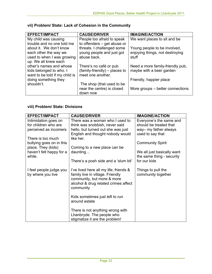| <b>EFFECT/IMPACT</b>           | <b>CAUSE/DRIVER</b>           | <b>IMAGINE/ACTION</b>            |
|--------------------------------|-------------------------------|----------------------------------|
| My child was causing           | People too afraid to speak    | We want places to sit and be     |
| trouble and no one told me     | to offenders – get abuse or   |                                  |
| about it. We don't know        | threats. I challenged some    | Young people to be involved,     |
| each other the way we          | young people and just got     | enjoying things, not destroying  |
| used to when I was growing     | abuse back.                   | stuff                            |
| up. We all knew each           |                               |                                  |
| other's names and whose        | There's no café or pub        | Need a more family-friendly pub, |
| kids belonged to who. I        | (family-friendly) – places to | maybe with a beer garden         |
| want to be told if my child is | meet one another.             |                                  |
| doing something they           |                               | Friendly, happier place          |
| shouldn't.                     | The shop (that used to be     |                                  |
|                                | near the centre) is closed    | More groups – better connections |
|                                | down now                      |                                  |

## **vii) Problem/ State: Lack of Cohesion in the Community**

## **viii) Problem/ State: Divisions**

| <b>EFFECT/IMPACT</b>                         | <b>CAUSE/DRIVER</b>                                                                                                                                           | <b>IMAGINE/ACTION</b>                    |
|----------------------------------------------|---------------------------------------------------------------------------------------------------------------------------------------------------------------|------------------------------------------|
| Intimidation goes on                         | There was a woman who I used to                                                                                                                               | Everyone's the same and                  |
| for children who are                         | think was snobbish, never said                                                                                                                                | should be treated that                   |
| perceived as incomers                        | hello, but turned out she was just                                                                                                                            | way- my father always                    |
|                                              | English and thought nobody would                                                                                                                              | used to say that                         |
| There is too much                            | like her.                                                                                                                                                     |                                          |
| bullying goes on in this                     |                                                                                                                                                               | <b>Community Spirit</b>                  |
| place. They (kids)                           | Coming to a new place can be.                                                                                                                                 |                                          |
| haven't felt happy for a                     | $d$ aunting                                                                                                                                                   | We all just basically want               |
| while.                                       |                                                                                                                                                               | the same thing - security                |
|                                              | There's a posh side and a 'slum bit'                                                                                                                          | for our kids                             |
| I feel people judge you<br>by where you live | I've lived here all my life; friends &<br>family live in village. Friendly<br>community, but more & more<br>alcohol & drug related crimes affect<br>community | Things to pull the<br>community together |
|                                              | Kids sometimes just left to run<br>around estate                                                                                                              |                                          |
|                                              | There is not anything wrong with<br>Lhanbryde. The people who<br>stigmatize it are the problem!                                                               |                                          |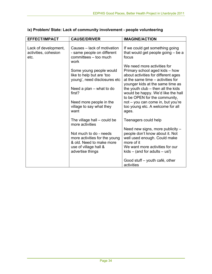| <b>EFFECT/IMPACT</b>                                 | <b>CAUSE/DRIVER</b>                                                                                                              | <b>IMAGINE/ACTION</b>                                                                                                                                                                   |
|------------------------------------------------------|----------------------------------------------------------------------------------------------------------------------------------|-----------------------------------------------------------------------------------------------------------------------------------------------------------------------------------------|
| Lack of development,<br>activities, cohesion<br>etc. | Causes – lack of motivation<br>- same people on different<br>committees - too much<br>work                                       | If we could get something going<br>that would get people going - be a<br>focus                                                                                                          |
|                                                      | Some young people would<br>like to help but are 'too<br>young', need disclosures etc                                             | We need more activities for<br>Primary school aged kids - how<br>about activities for different ages<br>at the same time – activities for<br>younger kids at the same time as           |
|                                                      | Need a plan – what to do<br>first?                                                                                               | the youth $club$ – then all the kids<br>would be happy. We'd like the hall<br>to be OPEN for the community,                                                                             |
|                                                      | Need more people in the<br>village to say what they<br>want                                                                      | not - you can come in, but you're<br>too young etc. A welcome for all<br>ages.                                                                                                          |
|                                                      | The village hall – could be<br>more activities                                                                                   | Teenagers could help                                                                                                                                                                    |
|                                                      | Not much to do - needs<br>more activities for the young<br>& old. Need to make more<br>use of village hall &<br>advertise things | Need new signs, more publicity -<br>people don't know about it. Not<br>well used enough. Could make<br>more of it<br>We want more activities for our<br>$kids - (and for adults - us!)$ |
|                                                      |                                                                                                                                  | Good stuff – youth café, other<br>activities                                                                                                                                            |

## **ix) Problem/ State: Lack of community involvement - people volunteering**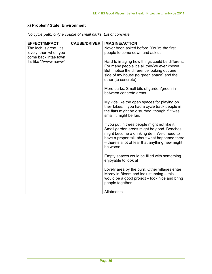## **x) Problem/ State: Environment**

| <b>EFFECT/IMPACT</b>                          | <b>CAUSE/DRIVER</b> | <b>IMAGINE/ACTION</b>                                                                                                                                                                                                                                  |
|-----------------------------------------------|---------------------|--------------------------------------------------------------------------------------------------------------------------------------------------------------------------------------------------------------------------------------------------------|
| The loch is great. It's                       |                     | Never been asked before. You're the first                                                                                                                                                                                                              |
| lovely, then when you                         |                     | people to come down and ask us                                                                                                                                                                                                                         |
| come back intae town<br>it's like "Awww naww" |                     | Hard to imaging how things could be different.<br>For many people it's all they've ever known.<br>But I notice the difference looking out one<br>side of my house (to green space) and the<br>other (to concrete)                                      |
|                                               |                     | More parks. Small bits of garden/green in<br>between concrete areas                                                                                                                                                                                    |
|                                               |                     | My kids like the open spaces for playing on<br>their bikes. If you had a cycle track people in<br>the flats might be disturbed, though if it was<br>small it might be fun.                                                                             |
|                                               |                     | If you put in trees people might not like it.<br>Small garden areas might be good. Benches<br>might become a drinking den. We'd need to<br>have a proper talk about what happened there<br>- there's a lot of fear that anything new might<br>be worse |
|                                               |                     | Empty spaces could be filled with something<br>enjoyable to look at                                                                                                                                                                                    |
|                                               |                     | Lovely area by the burn. Other villages enter<br>Moray in Bloom and look stunning - this<br>would be a good project – look nice and bring<br>people together                                                                                           |
|                                               |                     | Allotments                                                                                                                                                                                                                                             |

*No cycle path, only a couple of small parks. Lot of concrete*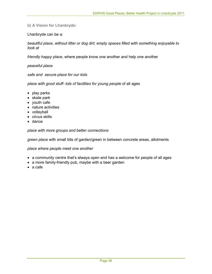**b) A Vision for Lhanbryde:** 

Lhanbryde can be a:

*beautiful place, without litter or dog dirt; empty spaces filled with something enjoyable to look at* 

*friendly happy place*, where people know one another and help one another

*peaceful place* 

*safe and secure place for our kids* 

*place with good stuff- lots of facilities for young people* of all ages

- play parks
- skate park
- youth cafe
- nature activities
- volleyball
- circus skills
- dance

*place with more groups and better connections* 

*green place* with small bits of garden/green in between concrete areas, allotments

*place where people meet one another* 

- a community centre that's always open and has a welcome for people of all ages
- a more family-friendly pub, maybe with a beer garden
- a cafe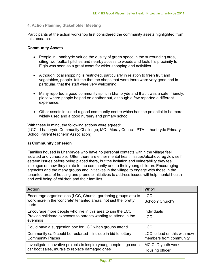#### **4. Action Planning Stakeholder Meeting**

Participants at the action workshop first considered the community assets highlighted from this research:

#### **Community Assets**

- People in Lhanbryde valued the quality of green space in the surrounding area, citing two football pitches and nearby access to woods and loch. It's proximity to Elgin was seen as a great asset for wider shopping and activities.
- Although local shopping is restricted, particularly in relation to fresh fruit and vegetables, people felt the that the shops that were there were very good and in particular, that the staff were very welcoming.
- Many reported a good community spirit in Lhanbryde and that it was a safe, friendly, place where people helped on another out, although a few reported a different experience.
- Other assets included a good community centre which has the potential to be more widely used and a good nursery and primary school.

With these in mind, the following actions were agreed: (LCC= Lhanbryde Community Challenge; MC= Moray Council; PTA= Lhanbryde Primary School Parent teachers' Association)

#### **a) Community cohesion**

Families housed in Lhanbryde who have no personal contacts within the village feel isolated and vunerable. Often there are either mental health issues/alcohol/drug /low self esteem issues before being placed there, but the isolation and vulnerability they feel impinges on how they relate to the community and to their young children. Encouraging agencies and the many groups and initiatives in the village to engage with those in the tenanted area of housing and promote initiatives to address issues will help mental health and well being of children and their families

| <b>Action</b>                                                                                                                                | Who?                                                   |
|----------------------------------------------------------------------------------------------------------------------------------------------|--------------------------------------------------------|
| Encourage organisations (LCC, Church, gardening groups etc) to<br>work more in the 'concrete' tenanted areas, not just the 'pretty'<br>parts | <b>LCC</b><br>School? Church?                          |
| Encourage more people who live in this area to join the LCC.<br>Provide childcare expenses to parents wanting to attend in the<br>evenings   | Individuals<br><b>LCC</b>                              |
| Could have a suggestion box for LCC when groups attend                                                                                       | <b>LCC</b>                                             |
| Community café could be restarted – include in bid to lottery<br><b>Community Places</b>                                                     | LCC to lead on this with new<br>members from community |
| Investigate innovative projects to inspire young people – go carts,<br>car boot sales, murals to replace damaged ones                        | MC CLD youth work<br>Housing officer                   |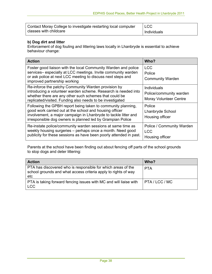| Contact Moray College to investigate restarting local computer | <b>LCC</b>  |
|----------------------------------------------------------------|-------------|
| classes with childcare                                         | Individuals |

## **b) Dog dirt and litter**

Enforcement of dog fouling and littering laws locally in Lhanbryde is essential to achieve behaviour change:

| <b>Action</b>                                                                                                                                                                                                                                            | Who?                                                                    |
|----------------------------------------------------------------------------------------------------------------------------------------------------------------------------------------------------------------------------------------------------------|-------------------------------------------------------------------------|
| Foster good liaison with the local Community Warden and police<br>services- especially at LCC meetings. Invite community warden<br>or ask police at next LCC meeting to discuss next steps and<br>improved partnership working                           | <b>LCC</b><br>Police<br><b>Community Warden</b>                         |
| Re-inforce the patchy Community Warden provision by<br>introducing a volunteer warden scheme. Research is needed into<br>whether there are any other such schemes that could be<br>replicated/visited. Funding also needs to be investigated             | Individuals<br>Police/community warden<br><b>Moray Volunteer Centre</b> |
| Following the GPBH report being taken to community planning,<br>good work carried out at the school and housing officer<br>involvement, a major campaign in Lhanbryde to tackle litter and<br>irresponsible dog owners is planned led by Grampian Police | Police<br>Lhanbryde School<br>Housing officer                           |
| Re-instate police/community warden sessions at same time as<br>weekly housing surgeries – perhaps once a month. Need good<br>publicity for these sessions as have been poorly attended in past.                                                          | Police / Community Warden<br><b>LCC</b><br>Housing officer              |

Parents at the school have been finding out about fencing off parts of the school grounds to stop dogs and deter littering:

| <b>Action</b>                                                                                                                         | Who?       |
|---------------------------------------------------------------------------------------------------------------------------------------|------------|
| PTA has discovered who is responsible for which areas of the<br>school grounds and what access criteria apply to rights of way<br>etc | <b>PTA</b> |
| PTA is taking forward fencing issues with MC and will liaise with<br><b>LCC</b>                                                       | PTA/LCC/MC |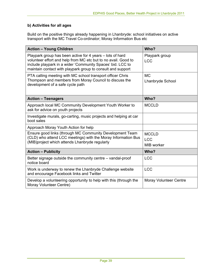## **b) Activities for all ages**

Build on the positive things already happening in Lhanbryde: school initiatives on active transport with the MC Travel Co-ordinator; Moray Information Bus etc

| <b>Action - Young Children</b>                                                                                                                                                                                                                           | Who?                                     |
|----------------------------------------------------------------------------------------------------------------------------------------------------------------------------------------------------------------------------------------------------------|------------------------------------------|
| Playpark group has been active for 4 years – lots of hard<br>volunteer effort and help from MC etc but to no avail. Good to<br>include playpark in a wider 'Community Spaces' bid. LCC to<br>maintain contact with playpark group to consult and support | Playpark group<br><b>LCC</b>             |
| PTA calling meeting with MC school transport officer Chris<br>Thompson and members from Moray Council to discuss the<br>development of a safe cycle path                                                                                                 | <b>MC</b><br>Lhanbryde School            |
| <b>Action - Teenagers</b>                                                                                                                                                                                                                                | Who?                                     |
| Approach local MC Community Development Youth Worker to<br>ask for advice on youth projects                                                                                                                                                              | <b>MCCLD</b>                             |
| Investigate murals, go-carting, music projects and helping at car<br>boot sales                                                                                                                                                                          |                                          |
| Approach Moray Youth Action for help                                                                                                                                                                                                                     |                                          |
| Ensure good links (through MC Community Development Team<br>(CLD) who attend LCC meetings) with the Moray Information Bus<br>(MIB) project which attends Lhanbryde regularly                                                                             | <b>MCCLD</b><br><b>LCC</b><br>MIB worker |
| <b>Action - Publicity</b>                                                                                                                                                                                                                                | Who?                                     |
| Better signage outside the community centre – vandal-proof<br>notice board                                                                                                                                                                               | <b>LCC</b>                               |
| Work is underway to renew the Lhanbryde Challenge website<br>and encourage Facebook links and Twitter                                                                                                                                                    | <b>LCC</b>                               |
| Develop a volunteering opportunity to help with this (through the<br>Moray Volunteer Centre)                                                                                                                                                             | <b>Moray Volunteer Centre</b>            |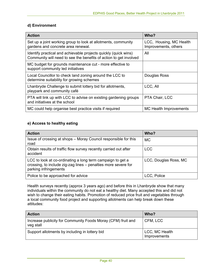#### **d) Environment**

| <b>Action</b>                                                                                                                        | Who?                                            |
|--------------------------------------------------------------------------------------------------------------------------------------|-------------------------------------------------|
| Set up a joint working group to look at allotments, community<br>gardens and concrete area renewal.                                  | LCC, Housing, MC Health<br>Improvements, others |
| Identify practical and achievable projects quickly (quick wins)<br>Community will need to see the benefits of action to get involved | All                                             |
| MC budget for grounds maintenance cut - more effective to<br>support community led initiatives                                       |                                                 |
| Local Councillor to check land zoning around the LCC to<br>determine suitability for growing schemes                                 | Douglas Ross                                    |
| Lhanbryde Challenge to submit lottery bid for allotments,<br>playpark and community café                                             | LCC, All                                        |
| PTA will link up with LCC to advise on existing gardening groups<br>and initiatives at the school                                    | PTA Chair, LCC                                  |
| MC could help organise best practice visits if required                                                                              | MC Health Improvements                          |

#### **e) Access to healthy eating**

| <b>Action</b>                                                                                                                                         | Who?                  |
|-------------------------------------------------------------------------------------------------------------------------------------------------------|-----------------------|
| Issue of crossing at shops – Moray Council responsible for this<br>road                                                                               | <b>MC</b>             |
| Obtain results of traffic flow survey recently carried out after<br>accident                                                                          | <b>LCC</b>            |
| LCC to look at co-ordinating a long term campaign to get a<br>crossing, to include zig-zag lines - penalties more severe for<br>parking infringements | LCC, Douglas Ross, MC |
| Police to be approached for advice                                                                                                                    | LCC, Police           |

Health surveys recently (approx 3 years ago) and before this in Lhanbryde show that many individuals within the community do not eat a healthy diet. Many accepted this and did not wish to change their eating habits. Promotion of reduced price fruit and vegetables through a local community food project and supporting allotments can help break down these attitudes:

| <b>Action</b>                                                             | Who?                           |
|---------------------------------------------------------------------------|--------------------------------|
| Increase publicity for Community Foods Moray (CFM) fruit and<br>veg stall | CFM, LCC                       |
| Support allotments by including in lottery bid                            | LCC, MC Health<br>Improvements |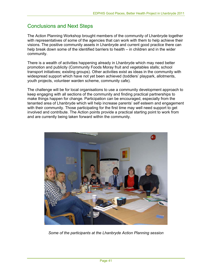# Conclusions and Next Steps

The Action Planning Workshop brought members of the community of Lhanbryde together with representatives of some of the agencies that can work with them to help achieve their visions. The positive community assets in Lhanbryde and current good practice there can help break down some of the identified barriers to health – in children and in the wider community.

There is a wealth of activities happening already in Lhanbryde which may need better promotion and publicity (Community Foods Moray fruit and vegetables stalls; school transport initiatives; existing groups). Other activities exist as ideas in the community with widespread support which have not yet been achieved (toddlers' playpark, allotments, youth projects, volunteer warden scheme, community cafe).

The challenge will be for local organisations to use a community development approach to keep engaging with all sections of the community and finding practical partnerships to make things happen for change. Participation can be encouraged, especially from the tenanted area of Lhanbryde which will help increase parents' self esteem and engagement with their community. Those participating for the first time may well need support to get involved and contribute. The Action points provide a practical starting point to work from and are currently being taken forward within the community.



*Some of the participants at the Lhanbryde Action Planning session*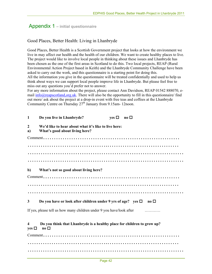# Appendix 1 **– initial questionnaire**

## Good Places, Better Health: Living in Lhanbryde

Good Places, Better Health is a Scottish Government project that looks at how the environment we live in may affect our health and the health of our children. We want to create healthy places to live. The project would like to involve local people in thinking about these issues and Lhanbryde has been chosen as the one of the first areas in Scotland to do this. Two local projects, REAP (Rural Environmental Action Project based in Keith) and the Lhanbryde Community Challenge have been asked to carry out the work, and this questionnaire is a starting point for doing this. All the information you give in the questionnaire will be treated confidentially and used to help us think about ways we can support local people improve life in Lhanbryde. But please feel free to miss out any questions you'd prefer not to answer.

For any more information about the project, please contact Ann Davidson, REAP 01542 888070, email  $\frac{info(Q)$ reapscotland,org.uk. There will also be the opportunity to fill in this questionnaire/ find out more/ ask about the project at a drop-in event with free teas and coffees at the Lhanbryde Community Centre on Thursday  $27<sup>th</sup>$  January from 9.15am- 12noon.

| $\mathbf{1}$         | Do you live in Lhanbryde?                                                                          | $ves \Box$ | $\bf{no}$ $\Box$              |
|----------------------|----------------------------------------------------------------------------------------------------|------------|-------------------------------|
| $\overline{2}$<br>a) | We'd like to hear about what it's like to live here:<br>What's good about living here?             |            |                               |
|                      |                                                                                                    |            |                               |
|                      |                                                                                                    |            |                               |
|                      |                                                                                                    |            |                               |
|                      |                                                                                                    |            |                               |
| b)                   | What's not so good about living here?                                                              |            |                               |
|                      |                                                                                                    |            |                               |
|                      |                                                                                                    |            |                               |
|                      |                                                                                                    |            |                               |
| 3                    | Do you have or look after children under 9 yrs of age? yes $\Box$                                  |            | $\mathbf{n}\mathbf{o}$ $\Box$ |
|                      | If yes, please tell us how many children under 9 you have/look after                               |            |                               |
| 4<br>yes $\square$   | Do you think that Lhanbryde is a healthy place for children to grow up?<br>$\mathbf{no}$ $\square$ |            |                               |
|                      |                                                                                                    |            |                               |
|                      |                                                                                                    |            |                               |
|                      |                                                                                                    |            |                               |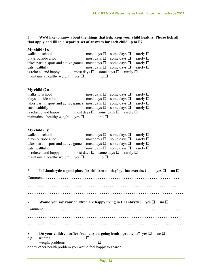#### **5 We'd like to know about the things that help keep your child healthy. Please tick all that apply and fill in a separate set of answers for each child up to P7:**

|           | My child $(1)$ :<br>walks to school<br>plays outside a lot                                                                                                                                                      | most days $\square$<br>most days $\square$                                                    | some days $\Box$<br>some days $\square$                                                                                                                                                | rarely $\square$<br>rarely $\square$                                         |                       |  |
|-----------|-----------------------------------------------------------------------------------------------------------------------------------------------------------------------------------------------------------------|-----------------------------------------------------------------------------------------------|----------------------------------------------------------------------------------------------------------------------------------------------------------------------------------------|------------------------------------------------------------------------------|-----------------------|--|
|           | takes part in sport and active games most days $\Box$<br>eats healthily<br>is relaxed and happy most days $\Box$ some days $\Box$ rarely $\Box$<br>maintains a healthy weight<br>yes $\Box$                     | most days $\square$<br>$\overline{p}$ no $\Box$                                               | some days $\square$<br>some days $\square$ rarely $\square$                                                                                                                            | rarely $\square$                                                             |                       |  |
|           | My child $(2)$ :<br>walks to school<br>plays outside a lot<br>takes part in sport and active games most days $\square$<br>eats healthily<br>is relaxed and happy<br>maintains a healthy weight<br>yes $\square$ | most days $\square$<br>most days $\square$<br>most days $\square$<br>$\overline{p}$ no $\Box$ | some days $\square$<br>some days $\square$<br>some days $\square$ rarely $\square$<br>some days $\square$ rarely $\square$<br>most days $\square$ some days $\square$ rarely $\square$ | rarely $\square$<br>rarely $\square$                                         |                       |  |
|           | My child $(3)$ :<br>walks to school<br>plays outside a lot<br>takes part in sport and active games most days $\square$<br>eats healthily<br>is relaxed and happy<br>maintains a healthy weight<br>yes $\square$ | most days $\square$<br>most days $\square$<br>most days $\square$<br>no $\square$             | some days $\square$<br>some days $\square$<br>some days $\square$<br>some days $\square$<br>most days $\square$ some days $\square$ rarely $\square$                                   | rarely $\square$<br>rarely $\square$<br>rarely $\square$<br>rarely $\square$ |                       |  |
| 6         | Is Lhanbryde a good place for children to play/ get fun exercise? yes $\Box$                                                                                                                                    |                                                                                               |                                                                                                                                                                                        |                                                                              | $\mathbf{n}$ o $\Box$ |  |
|           |                                                                                                                                                                                                                 |                                                                                               |                                                                                                                                                                                        |                                                                              |                       |  |
|           |                                                                                                                                                                                                                 |                                                                                               |                                                                                                                                                                                        |                                                                              |                       |  |
| 7         | Would you say your children are happy living in Lhanbryde? yes $\square$ no $\square$                                                                                                                           |                                                                                               |                                                                                                                                                                                        |                                                                              |                       |  |
|           |                                                                                                                                                                                                                 |                                                                                               |                                                                                                                                                                                        |                                                                              |                       |  |
|           |                                                                                                                                                                                                                 |                                                                                               |                                                                                                                                                                                        |                                                                              |                       |  |
|           |                                                                                                                                                                                                                 |                                                                                               |                                                                                                                                                                                        |                                                                              |                       |  |
| 8<br>e.g. | Do your children suffer from any on-going health problems? yes $\Box$<br>asthma<br>weight problems                                                                                                              | □                                                                                             |                                                                                                                                                                                        |                                                                              | $\bf{no}$ $\Box$      |  |
|           | or any other health problem you would feel happy to share?                                                                                                                                                      |                                                                                               |                                                                                                                                                                                        |                                                                              |                       |  |